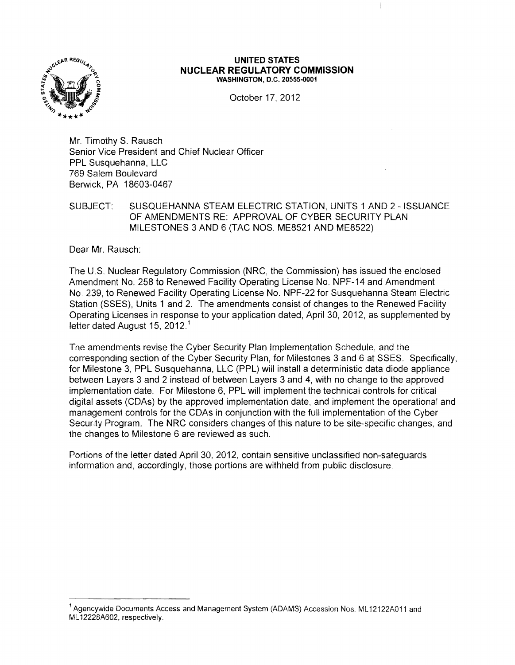

#### **UNITED STATES NUCLEAR REGULATORY COMMISSION WASHINGTON,** D.C. 20555-0001

ł

October 17,2012

Mr. Timothy S. Rausch Senior Vice President and Chief Nuclear Officer PPL Susquehanna, LLC 769 Salem Boulevard Berwick, PA 18603-0467

SUBJECT: SUSQUEHANNA STEAM ELECTRIC STATION, UNITS 1 AND 2 - ISSUANCE OF AMENDMENTS RE: APPROVAL OF CYBER SECURITY PLAN MILESTONES 3 AND 6 (TAC NOS. ME8521 AND ME8522)

Dear Mr. Rausch:

The U,S. Nuclear Regulatory Commission (NRC, the Commission) has issued the enclosed Amendment No. 258 to Renewed Facility Operating License No. NPF-14 and Amendment No. 239, to Renewed Facility Operating License No. NPF-22 for Susquehanna Steam Electric Station (SSES), Units 1 and 2. The amendments consist of changes to the Renewed Facility Operating Licenses in response to your application dated, April 30, 2012, as supplemented by letter dated August 15, 2012.<sup>1</sup>

The amendments revise the Cyber Security Plan Implementation Schedule, and the corresponding section of the Cyber Security Plan, for Milestones 3 and 6 at SSES. Specifically, for Milestone 3, PPL Susquehanna, LLC (PPL) will install a deterministic data diode appliance between Layers 3 and 2 instead of between Layers 3 and 4, with no change to the approved implementation date. For Milestone 6, PPL will implement the technical controls for critical digital assets (CDAs) by the approved implementation date, and implement the operational and management controls for the CDAs in conjunction with the full implementation of the Cyber Security Program. The NRC considers changes of this nature to be site-specific changes, and the changes to Milestone 6 are reviewed as such.

Portions of the letter dated April 30, 2012, contain sensitive unclassified non-safeguards information and, accordingly, those portions are withheld from public disclosure.

<sup>&</sup>lt;sup>1</sup> Agencywide Documents Access and Management System (ADAMS) Accession Nos. ML12122A011 and ML 12228A602, respectively.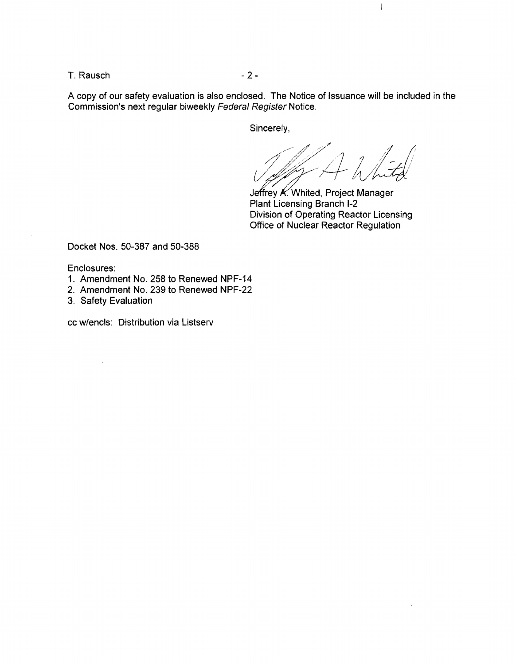$T.$  Rausch  $-2-$ 

A copy of our safety evaluation is also enclosed. The Notice of Issuance will be included in the Commission's next regular biweekly Federal Register Notice.

Sincerely,

 $\sqrt{2\pi}$  / / /  $\pm$ / 1/ 1/ 1/ 1/ 1/

 $\overline{\phantom{a}}$ 

Jeffrey K. Whited, Project Manager Plant Licensing Branch 1-2 Division of Operating Reactor Licensing Office of Nuclear Reactor Regulation

Docket Nos. 50-387 and 50-388

Enclosures:

- 1. Amendment No. 258 to Renewed NPF-14
- 2. Amendment No. 239 to Renewed NPF-22
- 3. Safety Evaluation

cc w/encls: Distribution via Listserv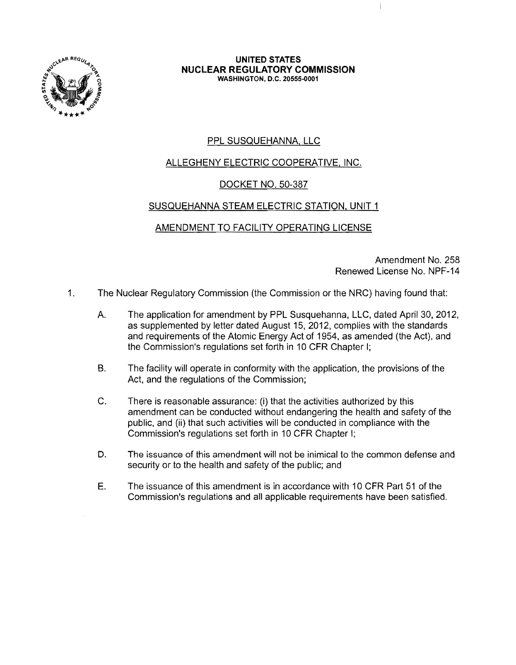

#### **UNITED STATES NUCLEAR REGULATORY COMMISSION** WASHINGTON, D.C. 20555-0001

# PPL SUSQUEHANNA, LLC

# ALLEGHENY ELECTRIC COOPERATIVE, INC.

# DOCKET NO. 50-387

### SUSQUEHANNA STEAM ELECTRIC STATION, UNIT 1

## AMENDMENT TO FACILITY OPERATING LICENSE

Amendment No. 258 Renewed License No. NPF-14

- 1. The Nuclear Regulatory Commission (the Commission or the NRC) having found that:
	- A. The application for amendment by PPL Susquehanna, LLC, dated April 30, 2012, as supplemented by letter dated August 15, 2012, complies with the standards and requirements of the Atomic Energy Act of 1954, as amended (the Act), and the Commission's regulations set forth in 10 CFR Chapter I;
	- B. The facility will operate in conformity with the application, the provisions of the Act, and the regulations of the Commission;
	- C. There is reasonable assurance: (i) that the activities authorized by this amendment can be conducted without endangering the health and safety of the public, and (ii) that such activities will be conducted in compliance with the Commission's regulations set forth in 10 CFR Chapter I;
	- D. The issuance of this amendment will not be inimical to the common defense and security or to the health and safety of the public; and
	- E. The issuance of this amendment is in accordance with 10 CFR Part 51 of the Commission's regulations and all applicable reqUirements have been satisfied.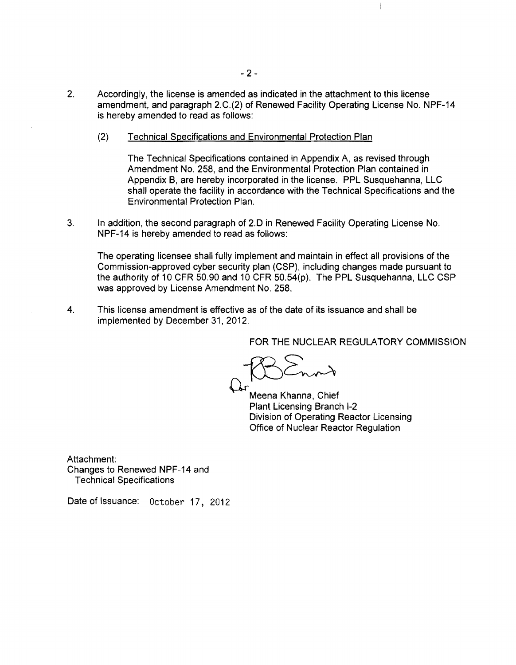- 2. Accordingly, the license is amended as indicated in the attachment to this license amendment, and paragraph 2.C.(2) of Renewed Facility Operating License No. NPF-14 is hereby amended to read as follows:
	- (2) Technical Specifications and Environmental Protection Plan

The Technical Specifications contained in Appendix A, as revised through Amendment No. 258, and the Environmental Protection Plan contained in Appendix B, are hereby incorporated in the license. PPL Susquehanna, LLC shall operate the facility in accordance with the Technical Specifications and the Environmental Protection Plan.

3. In addition, the second paragraph of 2.D in Renewed Facility Operating License No. NPF-14 is hereby amended to read as follows:

The operating licensee shall fully implement and maintain in effect all provisions of the Commission-approved cyber security plan (CSP), including changes made pursuant to the authority of 10 CFR 50.90 and 10 CFR 50.54(p). The PPL Susquehanna, LLC CSP was approved by License Amendment No. 258.

4. This license amendment is effective as of the date of its issuance and shall be implemented by December 31,2012.

FOR THE NUCLEAR REGULATORY COMMISSION

 $\mathcal{I}$ 

 $BSE_{n+1}$ 

Meena Khanna, Chief Plant Licensing Branch 1-2 Division of Operating Reactor Licensing Office of Nuclear Reactor Regulation

Attachment: Changes to Renewed NPF-14 and Technical Specifications

Date of Issuance: October 17, 2012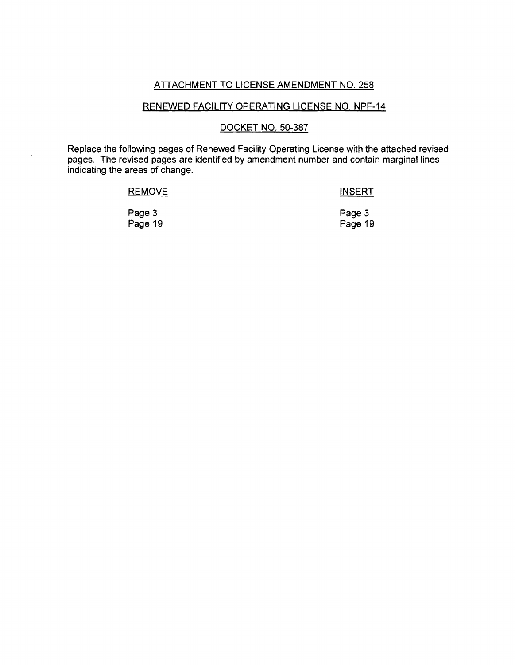#### ATTACHMENT TO LICENSE AMENDMENT NO. 258

 $\overline{\phantom{a}}$ 

## RENEWED FACILITY OPERATING LICENSE NO. NPF-14

#### DOCKET NO. 50-387

Replace the following pages of Renewed Facility Operating License with the attached revised pages. The revised pages are identified by amendment number and contain marginal lines indicating the areas of change.

| <b>REMOVE</b> | <b>INSERT</b> |  |  |
|---------------|---------------|--|--|
| Page 3        | Page 3        |  |  |
| Page 19       | Page 19       |  |  |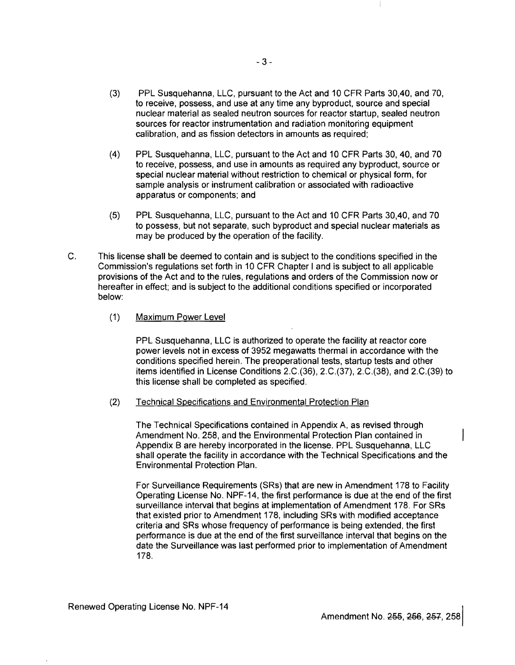- (3) PPL Susquehanna, LLC, pursuant to the Act and 10 CFR Parts 30,40, and 70, to receive, possess, and use at any time any byproduct, source and special nuclear material as sealed neutron sources for reactor startup, sealed neutron sources for reactor instrumentation and radiation monitoring equipment calibration, and as fission detectors in amounts as required;
- (4) PPL Susquehanna, LLC, pursuant to the Act and 10 CFR Parts 30, 40, and 70 to receive, possess, and use in amounts as required any byproduct, source or special nuclear material without restriction to chemical or physical form, for sample analysis or instrument calibration or associated with radioactive apparatus or components; and
- (5) PPL Susquehanna, LLC, pursuant to the Act and 10 CFR Parts 30,40, and 70 to possess, but not separate, such byproduct and special nuclear materials as may be produced by the operation of the facility.
- C. This license shall be deemed to contain and is subject to the conditions specified in the Commission's regulations set forth in 10 CFR Chapter I and is subject to all applicable provisions of the Act and to the rules, regulations and orders of the Commission now or hereafter in effect; and is subject to the additional conditions specified or incorporated below:
	- (1) Maximum Power Level

PPL Susquehanna, LLC is authorized to operate the facility at reactor core power levels not in excess of 3952 megawatts thermal in accordance with the conditions specified herein. The preoperational tests, startup tests and other items identified in License Conditions 2.C.(36), 2.C.(37), 2.C.(38), and 2.C.(39) to this license shall be completed as specified.

(2) Technical Specifications and Environmental Protection Plan

The Technical Specifications contained in Appendix A, as revised through Amendment No. 258, and the Environmental Protection Plan contained in Appendix B are hereby incorporated in the license. PPL Susquehanna, LLC shall operate the facility in accordance with the Technical Specifications and the Environmental Protection Plan.

For Surveillance Requirements (SRs) that are new in Amendment 178 to Facility Operating License No. NPF-14, the first performance is due at the end of the first surveillance interval that begins at implementation of Amendment 178. For SRs that existed prior to Amendment 178, including SRs with modified acceptance criteria and SRs whose frequency of performance is being extended, the first performance is due at the end of the first surveillance interval that begins on the date the Surveillance was last performed prior to implementation of Amendment 178.

Amendment No. 255, 256, 257, 258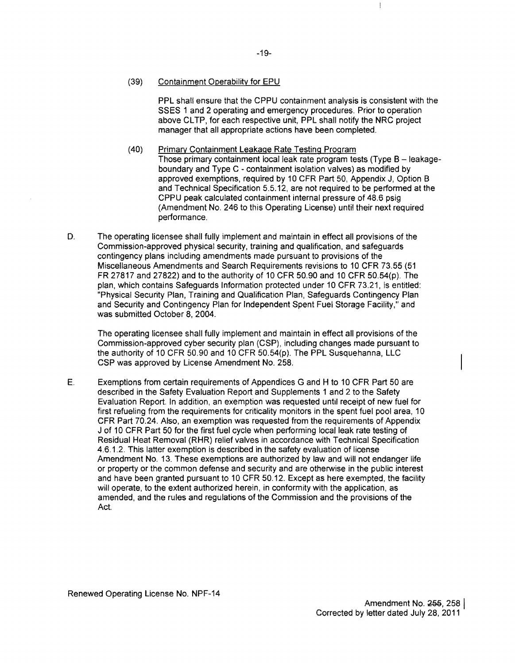#### (39) Containment Operability for EPU

PPL shall ensure that the CPPU containment analysis is consistent with the SSES 1 and 2 operating and emergency procedures. Prior to operation above CLTP, for each respective unit, PPL shall notify the NRC project manager that all appropriate actions have been completed.

 $\|$ 

- (40) Primary Containment Leakage Rate Testing Program Those primary containment local leak rate program tests (Type  $B -$  leakageboundary and Type C - containment isolation valves) as modified by approved exemptions, required by 10 CFR Part 50, Appendix J, Option B and Technical Specification 5.5.12, are not required to be performed at the CPPU peak calculated containment internal pressure of 48.6 psig (Amendment No. 246 to this Operating License) until their next required performance.
- D. The operating licensee shall fully implement and maintain in effect all provisions of the Commission-approved physical security, training and qualification, and safeguards contingency plans including amendments made pursuant to provisions of the Miscellaneous Amendments and Search Requirements revisions to 10 CFR 73.55 (51 FR 27817 and 27822) and to the authority of 10 CFR 50.90 and 10 CFR 50.54(p). The plan, which contains Safeguards Information protected under 10 CFR 73.21, is entitled: "Physical Security Plan, Training and Qualification Plan, Safeguards Contingency Plan and Security and Contingency Plan for Independent Spent Fuel Storage Facility," and was submitted October 8, 2004.

The operating licensee shall fully implement and maintain in effect all provisions of the Commission-approved cyber security plan (CSP), including changes made pursuant to the authority of 10 CFR 50.90 and 10 CFR 50.54(p). The PPL Susquehanna, LLC CSP was approved by License Amendment No. 258.

E. Exemptions from certain requirements of Appendices G and H to 10 CFR Part 50 are described in the Safety Evaluation Report and Supplements 1 and 2 to the Safety Evaluation Report. In addition, an exemption was requested until receipt of new fuel for first refueling from the requirements for criticality monitors in the spent fuel pool area, 10 CFR Part 70.24. Also, an exemption was requested from the requirements of Appendix J of 10 CFR Part 50 for the first fuel cycle when performing local leak rate testing of Residual Heat Removal (RHR) relief valves in accordance with Technical Specification 4.6.1.2. This latter exemption is described in the safety evaluation of license Amendment No. 13. These exemptions are authorized by law and will not endanger life or property or the common defense and security and are otherwise in the public interest and have been granted pursuant to 10 CFR 50.12. Except as here exempted, the facility will operate, to the extent authorized herein, in conformity with the application, as amended, and the rules and regulations of the Commission and the provisions of the Act.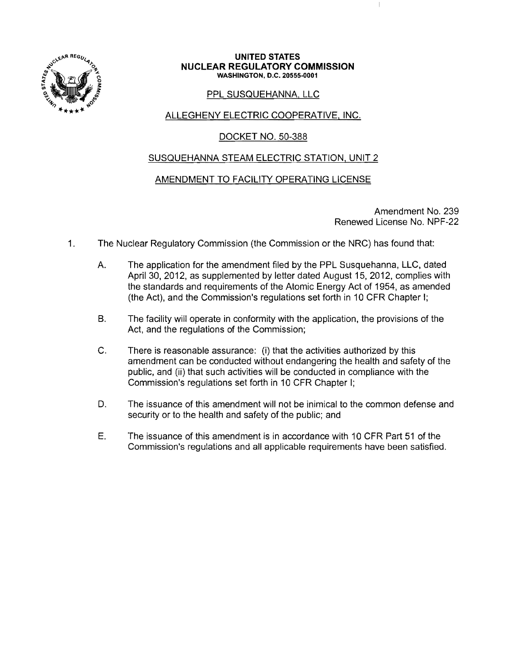

#### **UNITED STATES NUCLEAR REGULATORY COMMISSION** WASHINGTON, D.C. 20555·0001

### PPL SUSQUEHANNA, LLC

## ALLEGHENY ELECTRIC COOPERATIVE, INC.

### DOCKET NO. 50-388

### SUSQUEHANNA STEAM ELECTRIC STATION, UNIT 2

### AMENDMENT TO FACILITY OPERATING LICENSE

Amendment No. 239 Renewed License No. NPF-22

 $\ddagger$ 

- 1. The Nuclear Regulatory Commission (the Commission or the NRC) has found that:
	- A. The application for the amendment filed by the PPL Susquehanna, LLC, dated April 30, 2012, as supplemented by letter dated August 15, 2012, complies with the standards and requirements of the Atomic Energy Act of 1954, as amended (the Act), and the Commission's regulations set forth in 10 CFR Chapter I;
	- B. The facility will operate in conformity with the application, the provisions of the Act, and the regulations of the Commission;
	- C. There is reasonable assurance: (i) that the activities authorized by this amendment can be conducted without endangering the health and safety of the public, and (ii) that such activities will be conducted in compliance with the Commission's regulations set forth in 10 CFR Chapter I;
	- D. The issuance of this amendment will not be inimical to the common defense and security or to the health and safety of the public; and
	- E. The issuance of this amendment is in accordance with 10 CFR Part 51 of the Commission's regulations and all applicable requirements have been satisfied.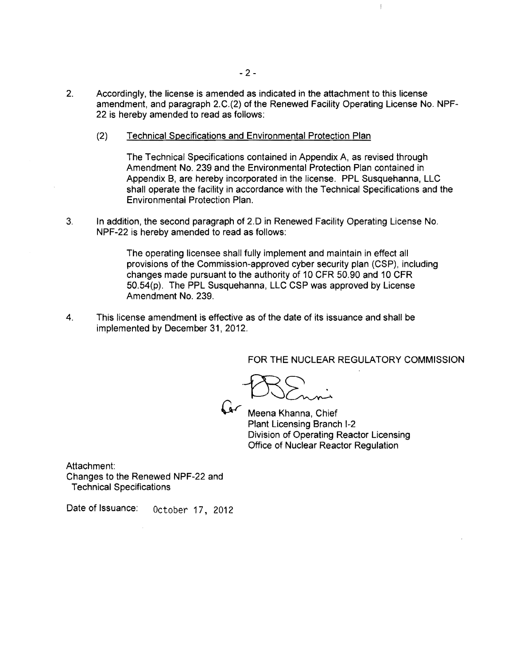- 2. Accordingly, the license is amended as indicated in the attachment to this license amendment, and paragraph 2.C.(2) of the Renewed Facility Operating License No. NPF-22 is hereby amended to read as follows:
	- (2) Technical Specifications and Environmental Protection Plan

The Technical Specifications contained in Appendix A, as revised through Amendment No. 239 and the Environmental Protection Plan contained in Appendix B, are hereby incorporated in the license. PPL Susquehanna, LLC shall operate the facility in accordance with the Technical Specifications and the Environmental Protection Plan.

3. In addition, the second paragraph of 2.0 in Renewed Facility Operating License No. NPF-22 is hereby amended to read as follows:

> The operating licensee shall fully implement and maintain in effect all provisions of the Commission-approved cyber security plan (CSP), including changes made pursuant to the authority of 10 CFR 50.90 and 10 CFR 50.54(p). The PPL Susquehanna, LLC CSP was approved by License Amendment No. 239.

4. This license amendment is effective as of the date of its issuance and shall be implemented by December 31,2012.

FOR THE NUCLEAR REGULATORY COMMISSION

 $\mathcal{I}$ 

 $BSE$ 

*G-r* Meena Khanna, Chief Plant Licensing Branch 1-2 Division of Operating Reactor Licensing Office of Nuclear Reactor Regulation

Attachment: Changes to the Renewed NPF-22 and Technical Specifications

Date of Issuance: October 17, 2012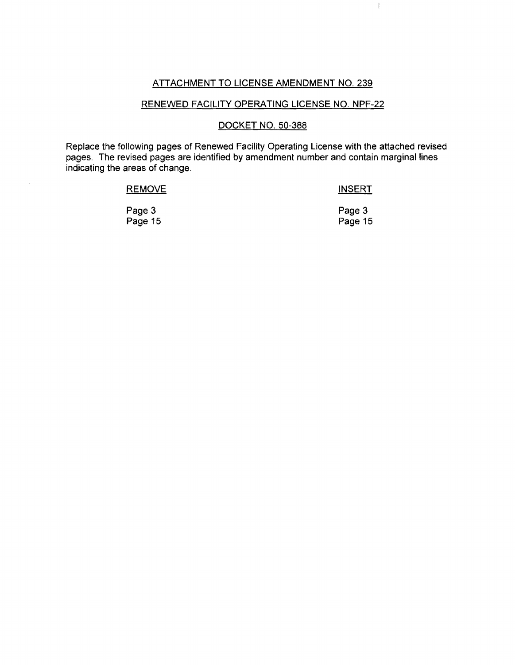### ATTACHMENT TO LICENSE AMENDMENT NO. 239

 $\mathbb{L}$ 

# RENEWED FACILITY OPERATING LICENSE NO. NPF-22

#### DOCKET NO. 50-388

Replace the following pages of Renewed Facility Operating License with the attached revised pages. The revised pages are identified by amendment number and contain marginal lines indicating the areas of change.

| <b>REMOVE</b> | <b>INSERT</b> |  |  |
|---------------|---------------|--|--|
| Page 3        | Page 3        |  |  |
| Page 15       | Page 15       |  |  |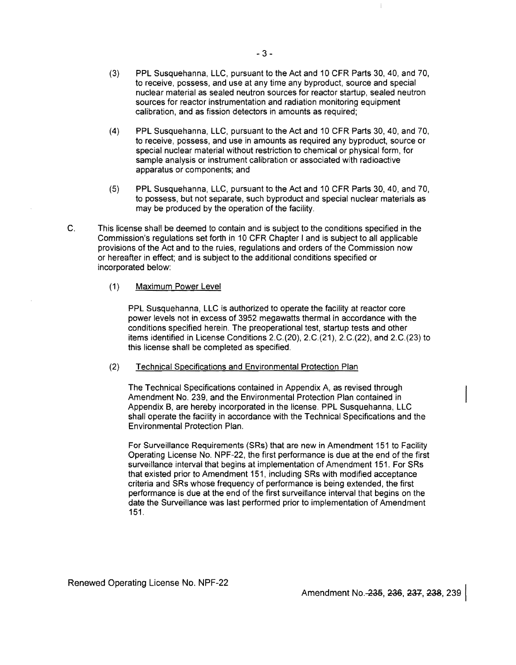- (3) PPL Susquehanna, LLC, pursuant to the Act and 10 CFR Parts 30, 40, and 70, to receive, possess, and use at any time any byproduct, source and special nuclear material as sealed neutron sources for reactor startup, sealed neutron sources for reactor instrumentation and radiation monitoring equipment calibration, and as fission detectors in amounts as required;
- (4) PPL Susquehanna, LLC, pursuant to the Act and 10 CFR Parts 30,40, and 70, to receive, possess, and use in amounts as required any byproduct, source or special nuclear material without restriction to chemical or physical form, for sample analysis or instrument calibration or associated with radioactive apparatus or components; and
- (5) PPL Susquehanna, LLC, pursuant to the Act and 10 CFR Parts 30,40, and 70, to possess, but not separate, such byproduct and special nuclear materials as may be produced by the operation of the facility.
- C. This license shall be deemed to contain and is subject to the conditions specified in the Commission's regulations set forth in 10 CFR Chapter I and is subject to all applicable provisions of the Act and to the rules, regulations and orders of the Commission now or hereafter in effect; and is subject to the additional conditions specified or incorporated below:

#### (1) Maximum Power Level

PPL Susquehanna, LLC is authorized to operate the facility at reactor core power levels not in excess of 3952 megawatts thermal in accordance with the conditions specified herein. The preoperational test, startup tests and other items identified in License Conditions 2.C.(20), 2.C.(21), 2.C.(22), and 2.C.(23) to this license shall be completed as specified.

(2) Technical Specifications and Environmental Protection Plan

The Technical Specifications contained in Appendix A, as revised through Amendment No. 239, and the Environmental Protection Plan contained in Appendix B, are hereby incorporated in the license. PPL Susquehanna, LLC shall operate the facility in accordance with the Technical Specifications and the Environmental Protection Plan.

For Surveillance Requirements (SRs) that are new in Amendment 151 to Facility Operating License No. NPF-22, the first performance is due at the end of the first surveillance interval that begins at implementation of Amendment 151. For SRs that existed prior to Amendment 151, including SRs with modified acceptance criteria and SRs whose frequency of performance is being extended, the first performance is due at the end of the first surveillance interval that begins on the date the Surveillance was last performed prior to implementation of Amendment 151.

Renewed Operating License No. NPF-22

Amendment No.-235, 236, 237, 238, 239

 $\overline{\phantom{a}}$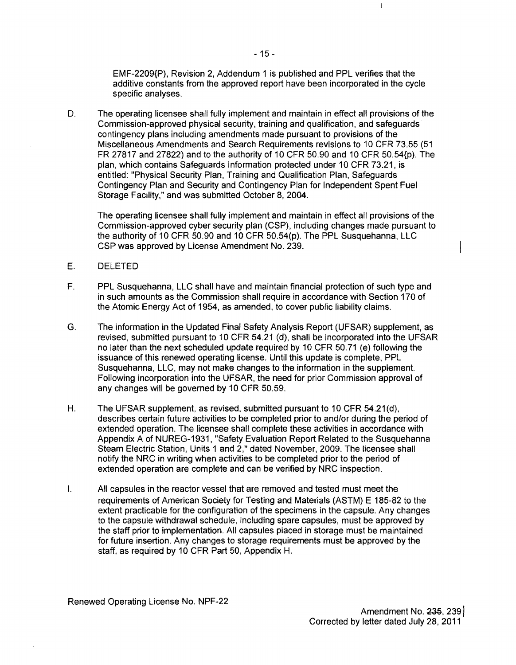EMF-2209{P), Revision 2, Addendum 1 is published and PPL verifies that the additive constants from the approved report have been incorporated in the cycle specific analyses.

D. The operating licensee shall fully implement and maintain in effect all provisions of the Commission-approved physical security, training and qualification, and safeguards contingency plans including amendments made pursuant to provisions of the Miscellaneous Amendments and Search Requirements revisions to 10 CFR 73.55 (51 FR 27817 and 27822) and to the authority of 10 CFR 50.90 and 10 CFR 50.54{p). The plan, which contains Safeguards Information protected under 10 CFR 73.21, is entitled: "Physical Security Plan, Training and Qualification Plan, Safeguards Contingency Plan and Security and Contingency Plan for Independent Spent Fuel Storage Facility," and was submitted October 8,2004.

The operating licensee shall fully implement and maintain in effect all provisions of the Commission-approved cyber security plan (CSP), including changes made pursuant to the authority of 10 CFR 50.90 and 10 CFR 50.54(p). The PPL Susquehanna, LLC CSP was approved by License Amendment No. 239.

### E. DELETED

- F. PPL Susquehanna, LLC shall have and maintain financial protection of such type and in such amounts as the Commission shall require in accordance with Section 170 of the Atomic Energy Act of 1954, as amended, to cover public liability claims.
- G. The information in the Updated Final Safety Analysis Report (UFSAR) supplement, as revised, submitted pursuant to 10 CFR 54.21 (d), shall be incorporated into the UFSAR no later than the next scheduled update required by 10 CFR 50.71 (e) following the issuance of this renewed operating license. Until this update is complete, PPL Susquehanna, LLC, may not make changes to the information in the supplement. Following incorporation into the UFSAR, the need for prior Commission approval of any changes will be governed by 10 CFR 50.59.
- H. The UFSAR supplement, as revised, submitted pursuant to 10 CFR 54.21(d), describes certain future activities to be completed prior to and/or during the period of extended operation. The licensee shall complete these activities in accordance with Appendix A of NUREG-1931, "Safety Evaluation Report Related to the Susquehanna Steam Electric Station, Units 1 and 2," dated November, 2009. The licensee shall notify the NRC in writing when activities to be completed prior to the period of extended operation are complete and can be verified by NRC inspection.
- I. All capsules in the reactor vessel that are removed and tested must meet the requirements of American Society for Testing and Materials (ASTM) E 185-82 to the extent practicable for the configuration of the specimens in the capsule. Any changes to the capsule withdrawal schedule, including spare capsules, must be approved by the staff prior to implementation. All capsules placed in storage must be maintained for future insertion. Any changes to storage requirements must be approved by the staff, as required by 10 CFR Part 50, Appendix H.

 $\mathsf I$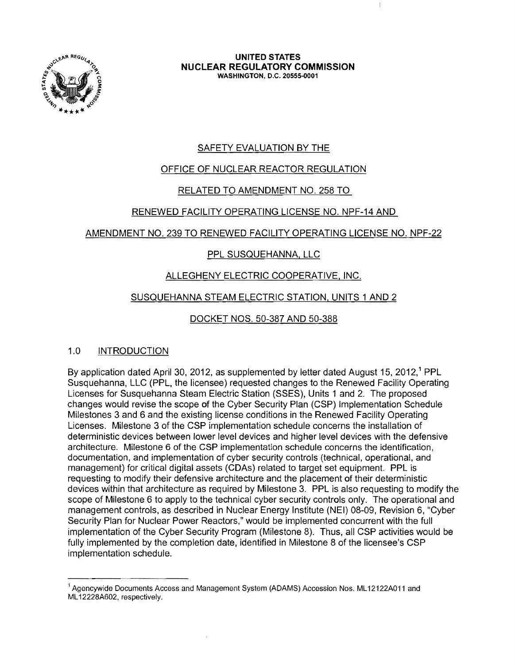

**UNITED STATES NUCLEAR REGULATORY COMMISSION** WASHINGTON, D.C. 20555-0001

# SAFETY EVALUATION BY THE

# OFFICE OF NUCLEAR REACTOR REGULATION

# RELATED TO AMENDMENT NO. 258 TO

## RENEWED FACILITY OPERATING LICENSE NO. NPF-14 AND

## AMENDMENT NO. 239 TO RENEWED FACILITY OPERATING LICENSE NO. NPF-22

# PPL SUSQUEHANNA, LLC

# ALLEGHENY ELECTRIC COOPERATIVE, INC.

# SUSQUEHANNA STEAM ELECTRIC STATION, UNITS 1 AND 2

# DOCKET NOS. 50-387 AND 50-388

# 1.0 INTRODUCTION

By application dated April 30, 2012, as supplemented by letter dated August 15, 2012,<sup>1</sup> PPL Susquehanna, LLC (PPL, the licensee) requested changes to the Renewed Facility Operating Licenses for Susquehanna Steam Electric Station (SSES), Units 1 and 2. The proposed changes would revise the scope of the Cyber Security Plan (CSP) Implementation Schedule Milestones 3 and 6 and the existing license conditions in the Renewed Facility Operating Licenses. Milestone 3 of the CSP implementation schedule concerns the installation of deterministic devices between lower level devices and higher level devices with the defensive architecture. Milestone 6 of the CSP implementation schedule concerns the identification, documentation, and implementation of cyber security controls (technical, operational, and management) for critical digital assets (CDAs) related to target set equipment. PPL is requesting to modify their defensive architecture and the placement of their deterministic devices within that architecture as required by Milestone 3. PPL is also requesting to modify the scope of Milestone 6 to apply to the technical cyber security controls only. The operational and management controls, as described in Nuclear Energy Institute (NEI) 08-09, Revision 6, "Cyber Security Plan for Nuclear Power Reactors," would be implemented concurrent with the full implementation of the Cyber Security Program (Milestone 8). Thus, all CSP activities would be fully implemented by the completion date, identified in Milestone 8 of the licensee's CSP implementation schedule.

 $<sup>1</sup>$  Agencywide Documents Access and Management System (ADAMS) Accession Nos. ML12122A011 and</sup> ML 12228A602, respectively.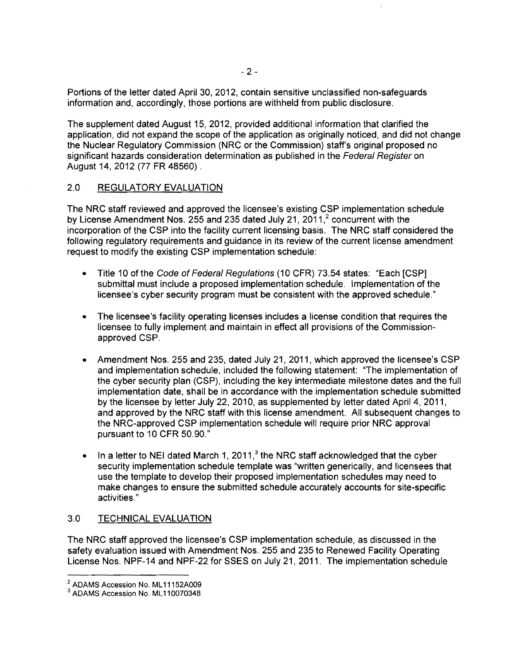Portions of the letter dated April 30, 2012, contain sensitive unclassified non-safeguards information and, accordingly, those portions are withheld from public disclosure.

The supplement dated August 15, 2012, provided additional information that clarified the application, did not expand the scope of the application as originally noticed, and did not change the Nuclear Regulatory Commission (NRC or the Commission) staff's original proposed no significant hazards consideration determination as published in the Federal Register on August 14, 2012 (77 FR 48560) .

### 2.0 REGULATORY EVALUATION

The NRC staff reviewed and approved the licensee's existing CSP implementation schedule by License Amendment Nos. 255 and 235 dated July 21, 2011, $^2$  concurrent with the incorporation of the CSP into the facility current licensing basis. The NRC staff considered the following regulatory requirements and guidance in its review of the current license amendment request to modify the existing CSP implementation schedule:

- Title 10 of the Code of Federal Regulations (10 CFR) 73.54 states: "Each [CSP] submittal must include a proposed implementation schedule. Implementation of the licensee's cyber security program must be consistent with the approved schedule."
- The licensee's facility operating licenses includes a license condition that requires the licensee to fully implement and maintain in effect all provisions of the Commissionapproved CSP.
- Amendment Nos. 255 and 235, dated July 21, 2011, which approved the licensee's CSP and implementation schedule, included the following statement: 'The implementation of the cyber security plan (CSP), including the key intermediate milestone dates and the full implementation date, shall be in accordance with the implementation schedule submitted by the licensee by letter July 22, 2010, as supplemented by letter dated April 4, 2011, and approved by the NRC staff with this license amendment. All subsequent changes to the NRC-approved CSP implementation schedule will require prior NRC approval pursuant to 10 CFR 50.90."
- In a letter to NEI dated March 1, 2011, $3$  the NRC staff acknowledged that the cyber security implementation schedule template was "written generically, and licensees that use the template to develop their proposed implementation schedules may need to make changes to ensure the submitted schedule accurately accounts for site-specific activities,"

### 3.0 TECHNICAL EVALUATION

The NRC staff approved the licensee's CSP implementation schedule, as discussed in the safety evaluation issued with Amendment Nos. 255 and 235 to Renewed Facility Operating License Nos. NPF-14 and NPF-22 for SSES on July 21,2011. The implementation schedule

 $\mathbb{I}$ 

<sup>&</sup>lt;sup>2</sup> ADAMS Accession No. ML11152A009

<sup>&</sup>lt;sup>3</sup> ADAMS Accession No. ML110070348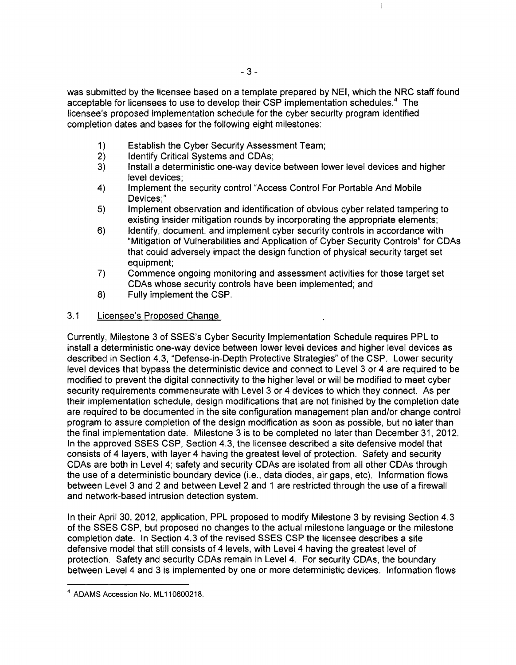was submitted by the licensee based on a template prepared by NEI, which the NRC staff found acceptable for licensees to use to develop their CSP implementation schedules.<sup>4</sup> The licensee's proposed implementation schedule for the cyber security program identified completion dates and bases for the following eight milestones:

 $\mathcal{I}$ 

- 1) Establish the Cyber Security Assessment Team;
- 2) Identify Critical Systems and CDAs;
- 3) Install a deterministic one-way device between lower level devices and higher level devices;
- 4) Implement the security control "Access Control For Portable And Mobile Devices;"
- 5) Implement observation and identification of obvious cyber related tampering to existing insider mitigation rounds by incorporating the appropriate elements;
- 6) Identify, document, and implement cyber security controls in accordance with "Mitigation of Vulnerabilities and Application of Cyber Security Controls" for CDAs that could adversely impact the design function of physical security target set equipment;
- 7) Commence ongoing monitoring and assessment activities for those target set CDAs whose security controls have been implemented; and
- 8) Fully implement the CSP.

### 3.1 Licensee's Proposed Change

Currently, Milestone 3 of SSES's Cyber Security Implementation Schedule requires PPL to install a deterministic one-way device between lower level devices and higher level devices as described in Section 4.3, "Defense-in-Depth Protective Strategies" of the CSP. Lower security level devices that bypass the deterministic device and connect to Level 3 or 4 are required to be modified to prevent the digital connectivity to the higher level or will be modified to meet cyber security requirements commensurate with Level 3 or 4 devices to which they connect. As per their implementation schedule, design modifications that are not finished by the completion date are required to be documented in the site configuration management plan and/or change control program to assure completion of the design modification as soon as possible, but no later than the final implementation date. Milestone 3 is to be completed no later than December 31, 2012. In the approved SSES CSP, Section 4.3, the licensee described a site defensive model that consists of 4 layers, with layer 4 having the greatest level of protection. Safety and security CDAs are both in Level 4; safety and security CDAs are isolated from all other CDAs through the use of a deterministic boundary device (i.e., data diodes, air gaps, etc). Information flows between Level 3 and 2 and between Level 2 and 1 are restricted through the use of a firewall and network-based intrusion detection system.

In their April 30, 2012, application, PPL proposed to modify Milestone 3 by revising Section 4.3 of the SSES CSP, but proposed no changes to the actual milestone language or the milestone completion date. In Section 4.3 of the revised SSES CSP the licensee describes a site defensive model that still consists of 4 levels, with Level 4 having the greatest level of protection. Safety and security CDAs remain in Level 4. For security CDAs, the boundary between Level 4 and 3 is implemented by one or more deterministic devices. Information flows

<sup>4</sup> ADAMS Accession No. ML11 0600218.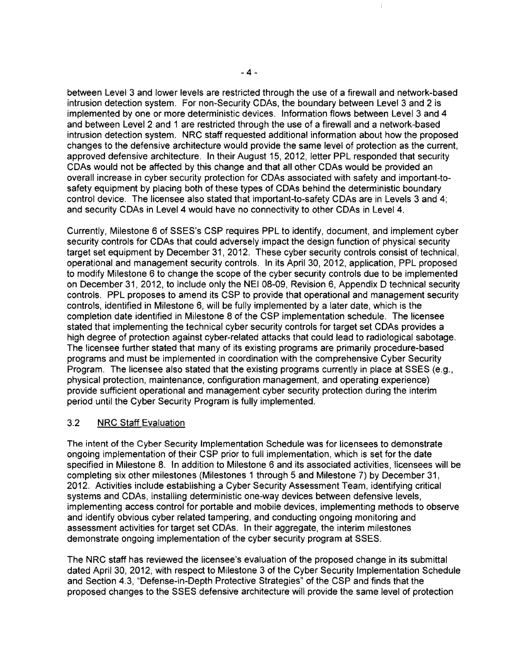between Level 3 and lower levels are restricted through the use of a firewall and network-based intrusion detection system. For non-Security CDAs, the boundary between Level 3 and 2 is implemented by one or more deterministic devices. Information flows between Level 3 and 4 and between Level 2 and 1 are restricted through the use of a firewall and a network-based intrusion detection system. NRC staff requested additional information about how the proposed changes to the defensive architecture would provide the same level of protection as the current, approved defensive architecture. In their August 15, 2012, letter PPL responded that security CDAs would not be affected by this change and that all other CDAs would be provided an overall increase in cyber security protection for CDAs associated with safety and important-tosafety equipment by placing both of these types of CDAs behind the deterministic boundary control device. The licensee also stated that important-to-safety CDAs are in Levels 3 and 4; and security CDAs in Level 4 would have no connectivity to other CDAs in Level 4.

Currently, Milestone 6 of SSES's CSP requires PPL to identify, document, and implement cyber security controls for CDAs that could adversely impact the design function of physical security target set equipment by December 31,2012. These cyber security controls consist of technical, operational and management security controls. In its April 30, 2012, application, PPL proposed to modify Milestone 6 to change the scope of the cyber security controls due to be implemented on December 31,2012, to include only the NEI OB-09, Revision 6, Appendix D technical security controls. PPL proposes to amend its CSP to provide that operational and management security controls, identified in Milestone 6, will be fully implemented by a later date, which is the completion date identified in Milestone *B*of the CSP implementation schedule. The licensee stated that implementing the technical cyber security controls for target set CDAs provides a high degree of protection against cyber-related attacks that could lead to radiological sabotage. The licensee further stated that many of its existing programs are primarily procedure-based programs and must be implemented in coordination with the comprehensive Cyber Security Program. The licensee also stated that the existing programs currently in place at SSES (e.g., physical protection, maintenance, configuration management, and operating experience) provide sufficient operational and management cyber security protection during the interim period until the Cyber Security Program is fully implemented.

### 3.2 NRC Staff Evaluation

The intent of the Cyber Security Implementation Schedule was for licensees to demonstrate ongoing implementation of their CSP prior to full implementation, which is set for the date specified in Milestone B. In addition to Milestone 6 and its associated activities, licensees will be completing six other milestones (Milestones 1 through 5 and Milestone 7) by December 31, 2012. Activities include establishing a Cyber Security Assessment Team, identifying critical systems and CDAs, installing deterministic one-way devices between defensive levels, implementing access control for portable and mobile devices, implementing methods to observe and identify obvious cyber related tampering, and conducting ongoing monitoring and assessment activities for target set CDAs. In their aggregate, the interim milestones demonstrate ongoing implementation of the cyber security program at SSES.

The NRC staff has reviewed the licensee's evaluation of the proposed change in its submittal dated April 30,2012, with respect to Milestone 3 of the Cyber Security Implementation Schedule and Section 4.3, "Defense-in-Depth Protective Strategies" of the CSP and finds that the proposed changes to the SSES defensive architecture will provide the same level of protection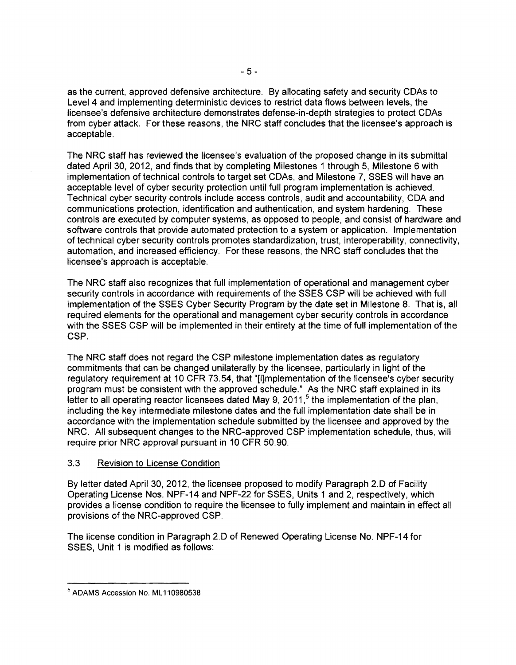as the current, approved defensive architecture. By allocating safety and security CDAs to Level 4 and implementing deterministic devices to restrict data flows between levels, the licensee's defensive architecture demonstrates defense-in-depth strategies to protect CDAs from cyber attack. For these reasons, the NRC staff concludes that the licensee's approach is acceptable.

 $\mathbbm{1}$ 

The NRC staff has reviewed the licensee's evaluation of the proposed change in its submittal dated April 30, 2012, and finds that by completing Milestones 1 through 5, Milestone 6 with implementation of technical controls to target set CDAs, and Milestone 7, SSES will have an acceptable level of cyber security protection until full program implementation is achieved. Technical cyber security controls include access controls, audit and accountability, CDA and communications protection, identification and authentication, and system hardening. These controls are executed by computer systems, as opposed to people, and consist of hardware and software controls that provide automated protection to a system or application. Implementation of technical cyber security controls promotes standardization, trust, interoperability, connectivity, automation, and increased efficiency. For these reasons, the NRC staff concludes that the licensee's approach is acceptable.

The NRC staff also recognizes that full implementation of operational and management cyber security controls in accordance with requirements of the SSES CSP will be achieved with full implementation of the SSES Cyber Security Program by the date set in Milestone 8. That is, all required elements for the operational and management cyber security controls in accordance with the SSES CSP will be implemented in their entirety at the time of full implementation of the CSP.

The NRC staff does not regard the CSP milestone implementation dates as regulatory commitments that can be changed unilaterally by the licensee, particularly in light of the regulatory requirement at 10 CFR 73.54, that "[i]mplementation of the licensee's cyber security program must be consistent with the approved schedule." As the NRC staff explained in its letter to all operating reactor licensees dated May 9, 2011,<sup>5</sup> the implementation of the plan, including the key intermediate milestone dates and the full implementation date shall be in accordance with the implementation schedule submitted by the licensee and approved by the NRC. All subsequent changes to the NRC-approved CSP implementation schedule, thus, will require prior NRC approval pursuant in 10 CFR 50.90.

### 3.3 Revision to License Condition

By letter dated April 30, 2012, the licensee proposed to modify Paragraph 2.D of Facility Operating License Nos. NPF-14 and NPF-22 for SSES, Units 1 and 2, respectively, which provides a license condition to require the licensee to fully implement and maintain in effect all provisions of the NRC-approved CSP.

The license condition in Paragraph 2.D of Renewed Operating License No. NPF-14 for SSES, Unit 1 is modified as follows:

<sup>5</sup> ADAMS Accession No. ML 110980538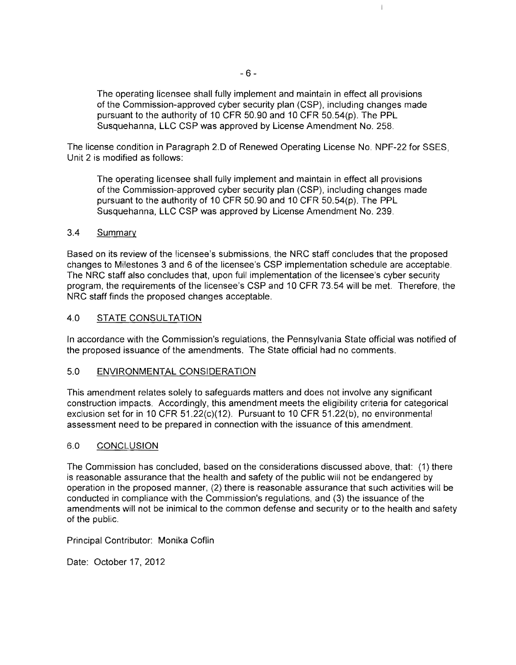The operating licensee shall fully implement and maintain in effect all provisions of the Commission-approved cyber security plan (CSP), including changes made pursuant to the authority of 10 CFR 50.90 and 10 CFR 50.54(p). The PPL Susquehanna, LLC CSP was approved by License Amendment No. 258.

 $\overline{1}$ 

The license condition in Paragraph 2.0 of Renewed Operating License No. NPF-22 for SSES, Unit 2 is modified as follows:

The operating licensee shall fully implement and maintain in effect all provisions of the Commission-approved cyber security plan (CSP), including changes made pursuant to the authority of 10 CFR 50.90 and 10 CFR 50.54(p). The PPL Susquehanna, LLC CSP was approved by License Amendment No. 239.

#### 3.4 Summary

Based on its review of the licensee's submissions, the NRC staff concludes that the proposed changes to Milestones 3 and 6 of the licensee's CSP implementation schedule are acceptable. The NRC staff also concludes that, upon full implementation of the licensee's cyber security program, the requirements of the licensee's CSP and 10 CFR 73.54 will be met. Therefore, the NRC staff finds the proposed changes acceptable.

#### 4.0 STATE CONSULTATION

In accordance with the Commission's regulations, the Pennsylvania State official was notified of the proposed issuance of the amendments. The State official had no comments.

#### 5.0 ENVIRONMENTAL CONSIDERATION

This amendment relates solely to safeguards matters and does not involve any significant construction impacts. Accordingly, this amendment meets the eligibility criteria for categorical exclusion set for in 10 CFR 51.22(c)(12). Pursuant to 10 CFR 51.22(b), no environmental assessment need to be prepared in connection with the issuance of this amendment.

#### 6.0 CONCLUSION

The Commission has concluded, based on the considerations discussed above, that: (1) there is reasonable assurance that the health and safety of the public will not be endangered by operation in the proposed manner, (2) there is reasonable assurance that such activities will be conducted in compliance with the Commission's regulations, and (3) the issuance of the amendments will not be inimical to the common defense and security or to the health and safety of the public.

Principal Contributor: Monika Coflin

Date: October 17, 2012